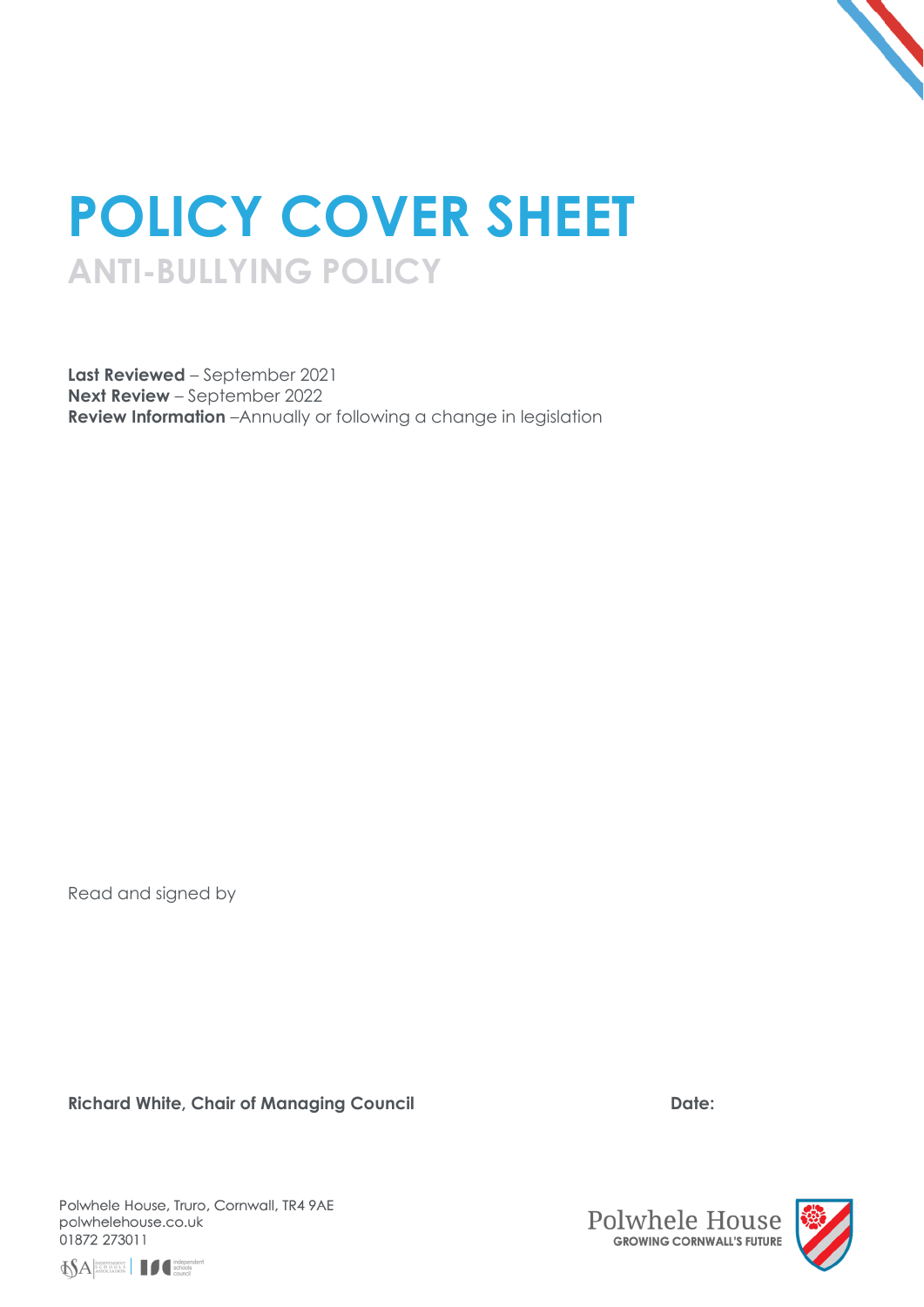

# **POLICY COVER SHEET ANTI-BULLYING POLICY**

**Last Reviewed** – September 2021 **Next Review** – September 2022 **Review Information** –Annually or following a change in legislation

Read and signed by

Richard White, Chair of Managing Council **Date:** Date:

Polwhele House, Truro, Cornwall, TR4 9AE polwhelehouse.co.uk 01872 273011





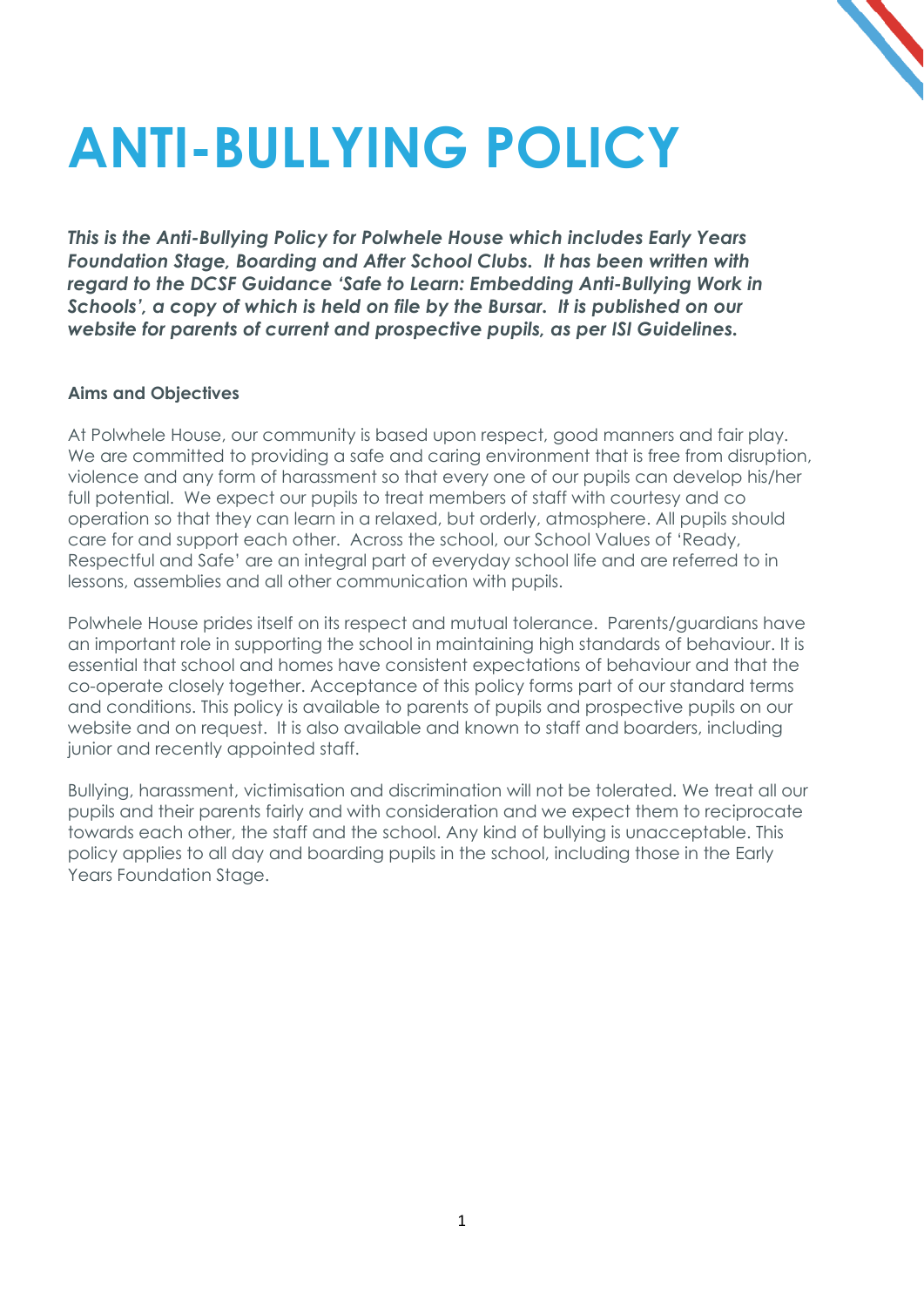# **ANTI-BULLYING POLICY**

*This is the Anti-Bullying Policy for Polwhele House which includes Early Years Foundation Stage, Boarding and After School Clubs. It has been written with regard to the DCSF Guidance 'Safe to Learn: Embedding Anti-Bullying Work in Schools', a copy of which is held on file by the Bursar. It is published on our website for parents of current and prospective pupils, as per ISI Guidelines.*

# **Aims and Objectives**

At Polwhele House, our community is based upon respect, good manners and fair play. We are committed to providing a safe and caring environment that is free from disruption, violence and any form of harassment so that every one of our pupils can develop his/her full potential. We expect our pupils to treat members of staff with courtesy and co operation so that they can learn in a relaxed, but orderly, atmosphere. All pupils should care for and support each other. Across the school, our School Values of 'Ready, Respectful and Safe' are an integral part of everyday school life and are referred to in lessons, assemblies and all other communication with pupils.

Polwhele House prides itself on its respect and mutual tolerance. Parents/guardians have an important role in supporting the school in maintaining high standards of behaviour. It is essential that school and homes have consistent expectations of behaviour and that the co-operate closely together. Acceptance of this policy forms part of our standard terms and conditions. This policy is available to parents of pupils and prospective pupils on our website and on request. It is also available and known to staff and boarders, including junior and recently appointed staff.

Bullying, harassment, victimisation and discrimination will not be tolerated. We treat all our pupils and their parents fairly and with consideration and we expect them to reciprocate towards each other, the staff and the school. Any kind of bullying is unacceptable. This policy applies to all day and boarding pupils in the school, including those in the Early Years Foundation Stage.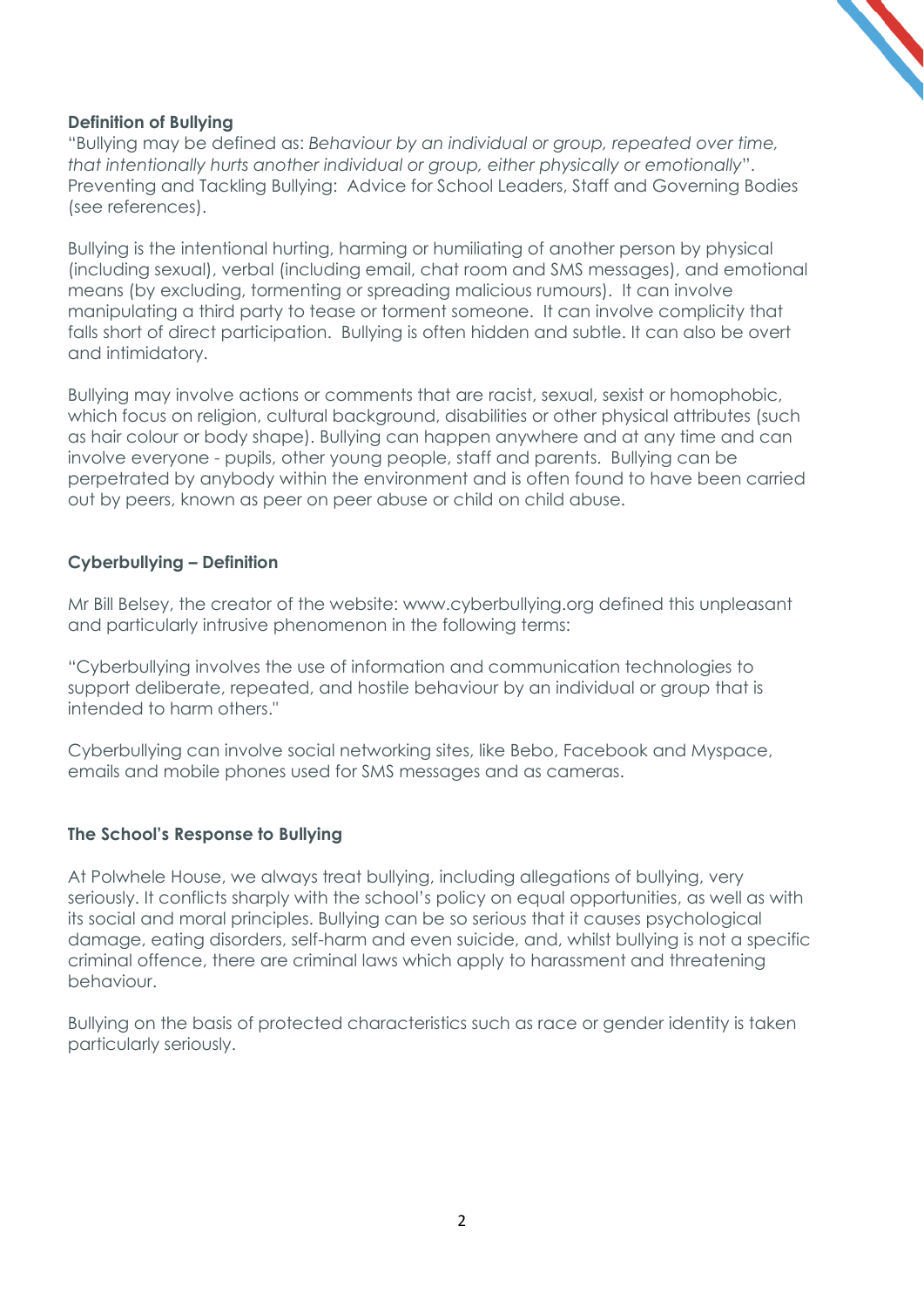# **Definition of Bullying**

"Bullying may be defined as: *Behaviour by an individual or group, repeated over time, that intentionally hurts another individual or group, either physically or emotionally*". Preventing and Tackling Bullying: Advice for School Leaders, Staff and Governing Bodies (see references).

Bullying is the intentional hurting, harming or humiliating of another person by physical (including sexual), verbal (including email, chat room and SMS messages), and emotional means (by excluding, tormenting or spreading malicious rumours). It can involve manipulating a third party to tease or torment someone. It can involve complicity that falls short of direct participation. Bullying is often hidden and subtle. It can also be overt and intimidatory.

Bullying may involve actions or comments that are racist, sexual, sexist or homophobic, which focus on religion, cultural background, disabilities or other physical attributes (such as hair colour or body shape). Bullying can happen anywhere and at any time and can involve everyone - pupils, other young people, staff and parents. Bullying can be perpetrated by anybody within the environment and is often found to have been carried out by peers, known as peer on peer abuse or child on child abuse.

#### **Cyberbullying – Definition**

Mr Bill Belsey, the creator of the website: www.cyberbullying.org defined this unpleasant and particularly intrusive phenomenon in the following terms:

"Cyberbullying involves the use of information and communication technologies to support deliberate, repeated, and hostile behaviour by an individual or group that is intended to harm others."

Cyberbullying can involve social networking sites, like Bebo, Facebook and Myspace, emails and mobile phones used for SMS messages and as cameras.

# **The School's Response to Bullying**

At Polwhele House, we always treat bullying, including allegations of bullying, very seriously. It conflicts sharply with the school's policy on equal opportunities, as well as with its social and moral principles. Bullying can be so serious that it causes psychological damage, eating disorders, self-harm and even suicide, and, whilst bullying is not a specific criminal offence, there are criminal laws which apply to harassment and threatening behaviour.

Bullying on the basis of protected characteristics such as race or gender identity is taken particularly seriously.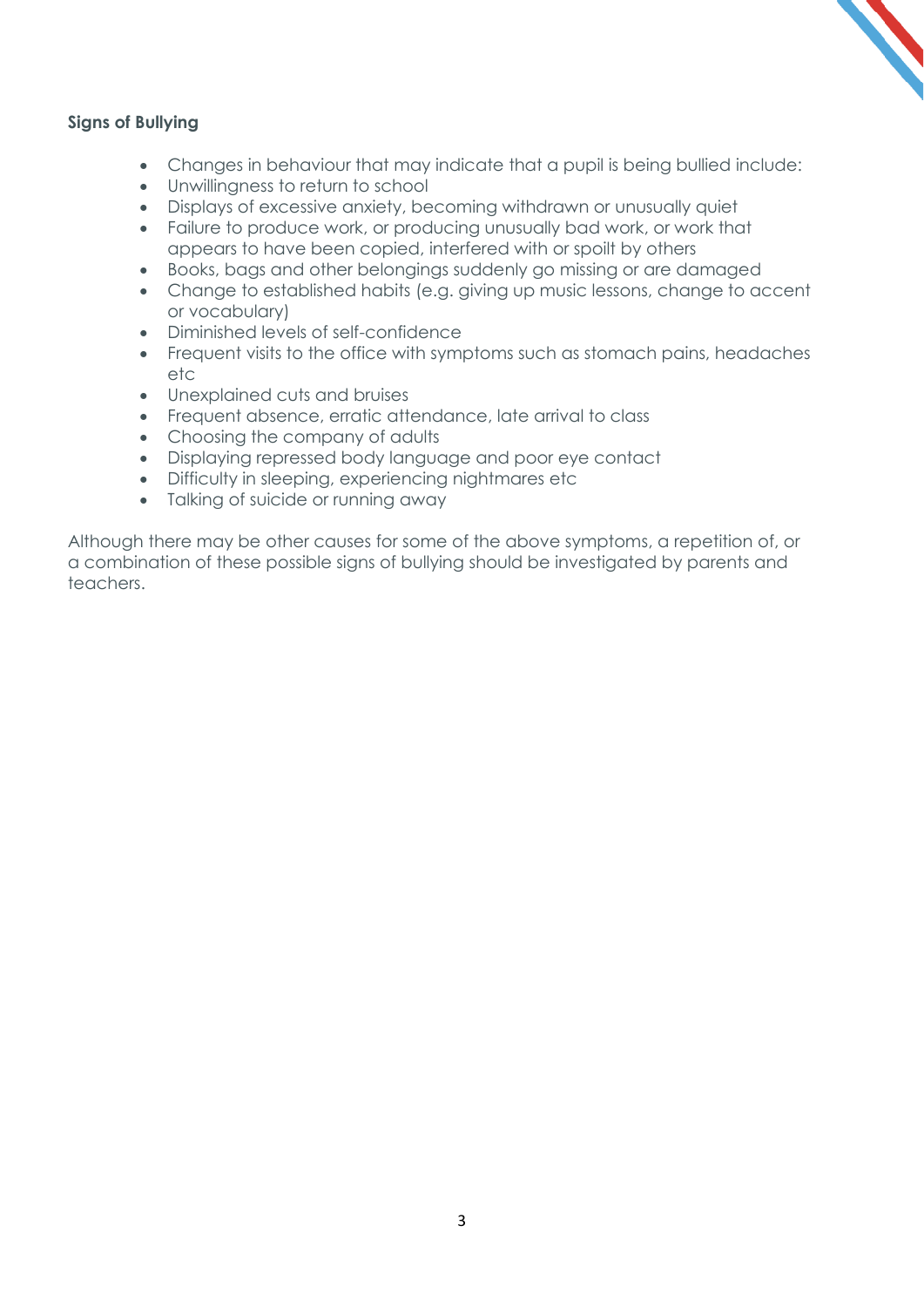# **Signs of Bullying**

- Changes in behaviour that may indicate that a pupil is being bullied include:
- Unwillingness to return to school
- Displays of excessive anxiety, becoming withdrawn or unusually quiet
- Failure to produce work, or producing unusually bad work, or work that appears to have been copied, interfered with or spoilt by others
- Books, bags and other belongings suddenly go missing or are damaged
- Change to established habits (e.g. giving up music lessons, change to accent or vocabulary)
- Diminished levels of self-confidence
- Frequent visits to the office with symptoms such as stomach pains, headaches etc
- Unexplained cuts and bruises
- Frequent absence, erratic attendance, late arrival to class
- Choosing the company of adults
- Displaying repressed body language and poor eye contact
- Difficulty in sleeping, experiencing nightmares etc
- Talking of suicide or running away

Although there may be other causes for some of the above symptoms, a repetition of, or a combination of these possible signs of bullying should be investigated by parents and teachers.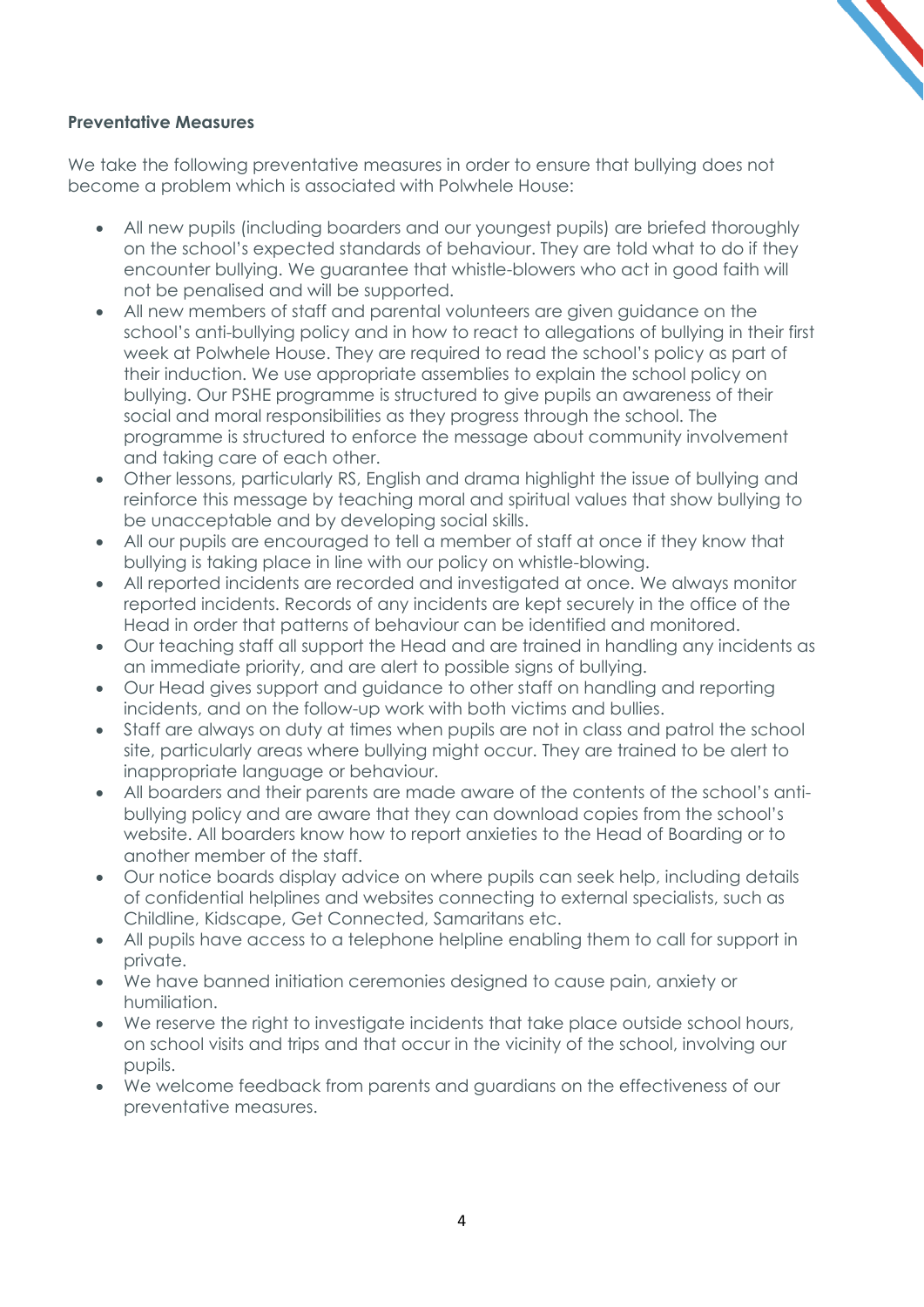# **Preventative Measures**

We take the following preventative measures in order to ensure that bullying does not become a problem which is associated with Polwhele House:

- All new pupils (including boarders and our youngest pupils) are briefed thoroughly on the school's expected standards of behaviour. They are told what to do if they encounter bullying. We guarantee that whistle-blowers who act in good faith will not be penalised and will be supported.
- All new members of staff and parental volunteers are given guidance on the school's anti-bullying policy and in how to react to allegations of bullying in their first week at Polwhele House. They are required to read the school's policy as part of their induction. We use appropriate assemblies to explain the school policy on bullying. Our PSHE programme is structured to give pupils an awareness of their social and moral responsibilities as they progress through the school. The programme is structured to enforce the message about community involvement and taking care of each other.
- Other lessons, particularly RS, English and drama highlight the issue of bullying and reinforce this message by teaching moral and spiritual values that show bullying to be unacceptable and by developing social skills.
- All our pupils are encouraged to tell a member of staff at once if they know that bullying is taking place in line with our policy on whistle-blowing.
- All reported incidents are recorded and investigated at once. We always monitor reported incidents. Records of any incidents are kept securely in the office of the Head in order that patterns of behaviour can be identified and monitored.
- Our teaching staff all support the Head and are trained in handling any incidents as an immediate priority, and are alert to possible signs of bullying.
- Our Head gives support and guidance to other staff on handling and reporting incidents, and on the follow-up work with both victims and bullies.
- Staff are always on duty at times when pupils are not in class and patrol the school site, particularly areas where bullying might occur. They are trained to be alert to inappropriate language or behaviour.
- All boarders and their parents are made aware of the contents of the school's antibullying policy and are aware that they can download copies from the school's website. All boarders know how to report anxieties to the Head of Boarding or to another member of the staff.
- Our notice boards display advice on where pupils can seek help, including details of confidential helplines and websites connecting to external specialists, such as Childline, Kidscape, Get Connected, Samaritans etc.
- All pupils have access to a telephone helpline enabling them to call for support in private.
- We have banned initiation ceremonies designed to cause pain, anxiety or humiliation.
- We reserve the right to investigate incidents that take place outside school hours, on school visits and trips and that occur in the vicinity of the school, involving our pupils.
- We welcome feedback from parents and guardians on the effectiveness of our preventative measures.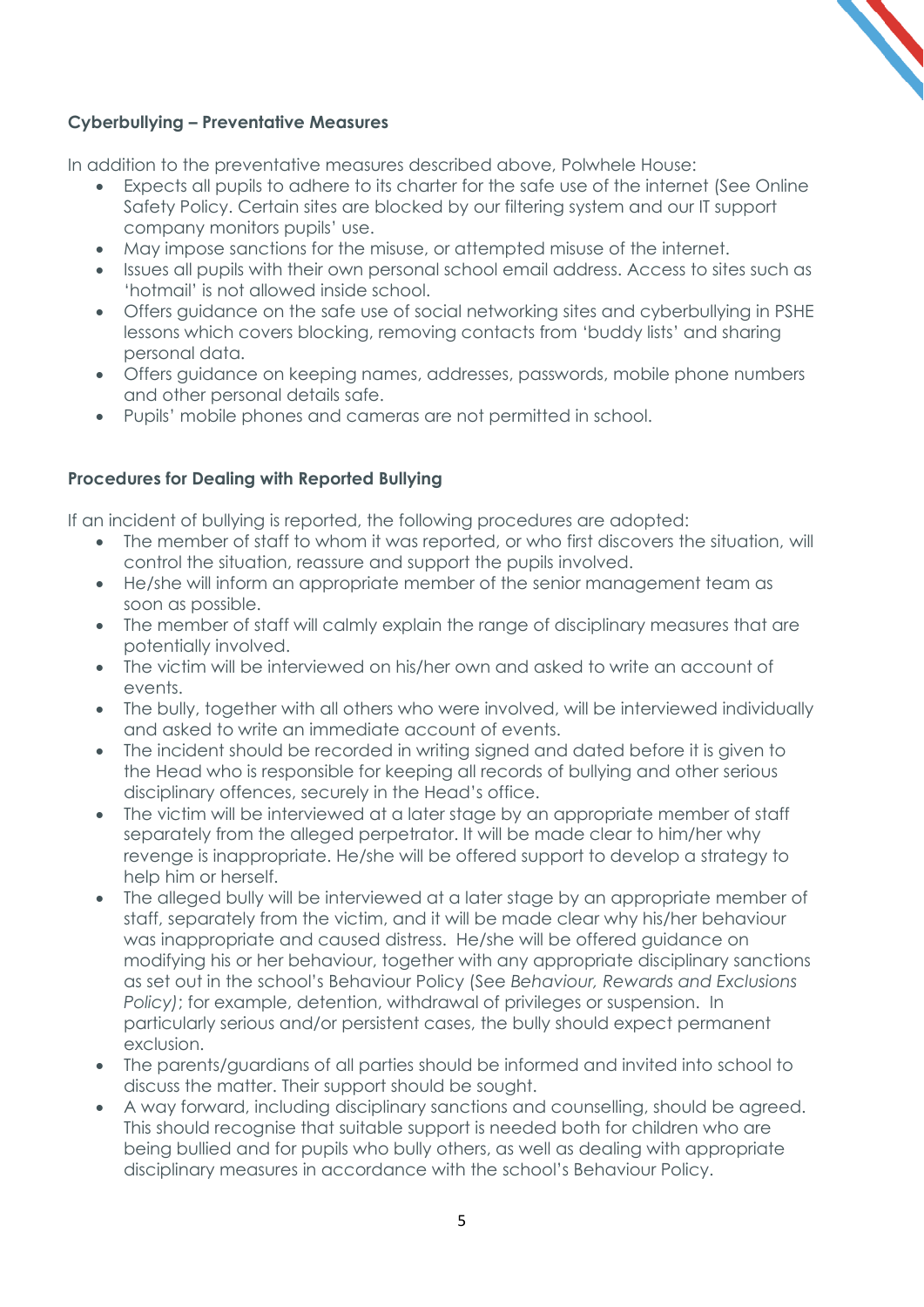# **Cyberbullying – Preventative Measures**

In addition to the preventative measures described above, Polwhele House:

- Expects all pupils to adhere to its charter for the safe use of the internet (See Online Safety Policy. Certain sites are blocked by our filtering system and our IT support company monitors pupils' use.
- May impose sanctions for the misuse, or attempted misuse of the internet.
- Issues all pupils with their own personal school email address. Access to sites such as 'hotmail' is not allowed inside school.
- Offers guidance on the safe use of social networking sites and cyberbullying in PSHE lessons which covers blocking, removing contacts from 'buddy lists' and sharing personal data.
- Offers guidance on keeping names, addresses, passwords, mobile phone numbers and other personal details safe.
- Pupils' mobile phones and cameras are not permitted in school.

# **Procedures for Dealing with Reported Bullying**

If an incident of bullying is reported, the following procedures are adopted:

- The member of staff to whom it was reported, or who first discovers the situation, will control the situation, reassure and support the pupils involved.
- He/she will inform an appropriate member of the senior management team as soon as possible.
- The member of staff will calmly explain the range of disciplinary measures that are potentially involved.
- The victim will be interviewed on his/her own and asked to write an account of events.
- The bully, together with all others who were involved, will be interviewed individually and asked to write an immediate account of events.
- The incident should be recorded in writing signed and dated before it is given to the Head who is responsible for keeping all records of bullying and other serious disciplinary offences, securely in the Head's office.
- The victim will be interviewed at a later stage by an appropriate member of staff separately from the alleged perpetrator. It will be made clear to him/her why revenge is inappropriate. He/she will be offered support to develop a strategy to help him or herself.
- The alleged bully will be interviewed at a later stage by an appropriate member of staff, separately from the victim, and it will be made clear why his/her behaviour was inappropriate and caused distress. He/she will be offered guidance on modifying his or her behaviour, together with any appropriate disciplinary sanctions as set out in the school's Behaviour Policy (See *Behaviour, Rewards and Exclusions Policy)*; for example, detention, withdrawal of privileges or suspension. In particularly serious and/or persistent cases, the bully should expect permanent exclusion.
- The parents/guardians of all parties should be informed and invited into school to discuss the matter. Their support should be sought.
- A way forward, including disciplinary sanctions and counselling, should be agreed. This should recognise that suitable support is needed both for children who are being bullied and for pupils who bully others, as well as dealing with appropriate disciplinary measures in accordance with the school's Behaviour Policy.